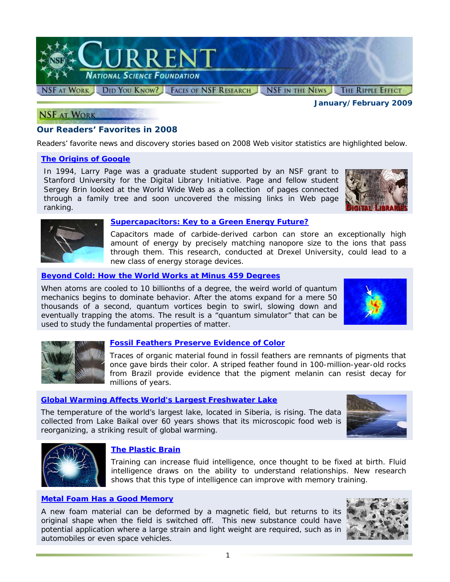

*January/February 2009* 

## **NSF AT WORK**

# **Our Readers' Favorites in 2008**

Readers' favorite news and discovery stories based on 2008 Web visitor statistics are highlighted below.

## *[The Origins of Google](http://www.nsf.gov/discoveries/disc_summ.jsp?cntn_id=100660)*

In 1994, Larry Page was a graduate student supported by an NSF grant to Stanford University for the Digital Library Initiative. Page and fellow student Sergey Brin looked at the World Wide Web as a collection of pages connected through a family tree and soon uncovered the missing links in Web page ranking.





#### *[Supercapacitors: Key to a Green Energy Future?](http://www.nsf.gov/discoveries/disc_summ.jsp?cntn_id=111835)*

Capacitors made of carbide-derived carbon can store an exceptionally high amount of energy by precisely matching nanopore size to the ions that pass through them. This research, conducted at Drexel University, could lead to a new class of energy storage devices.

## *[Beyond Cold: How the World Works at Minus 459 Degrees](http://www.nsf.gov/discoveries/disc_summ.jsp?cntn_id=111935)*

When atoms are cooled to 10 billionths of a degree, the weird world of quantum mechanics begins to dominate behavior. After the atoms expand for a mere 50 thousands of a second, quantum vortices begin to swirl, slowing down and eventually trapping the atoms. The result is a "quantum simulator" that can be used to study the fundamental properties of matter.





## *[Fossil Feathers Preserve Evidence of Color](http://www.nsf.gov/discoveries/disc_summ.jsp?cntn_id=111902)*

Traces of organic material found in fossil feathers are remnants of pigments that once gave birds their color. A striped feather found in 100-million-year-old rocks from Brazil provide evidence that the pigment melanin can resist decay for millions of years.

# *[Global Warming Affects World's Largest Freshwater Lake](http://www.nsf.gov/news/news_summ.jsp?cntn_id=111511)*

The temperature of the world's largest lake, located in Siberia, is rising. The data collected from Lake Baikal over 60 years shows that its microscopic food web is reorganizing, a striking result of global warming.





## *[The Plastic Brain](http://www.nsf.gov/news/news_summ.jsp?cntn_id=111659)*

Training can increase fluid intelligence, once thought to be fixed at birth. Fluid intelligence draws on the ability to understand relationships. New research shows that this type of intelligence can improve with memory training.

## *[Metal Foam Has a Good Memory](http://www.nsf.gov/news/news_summ.jsp?cntn_id=110901)*

A new foam material can be deformed by a magnetic field, but returns to its original shape when the field is switched off. This new substance could have potential application where a large strain and light weight are required, such as in automobiles or even space vehicles.

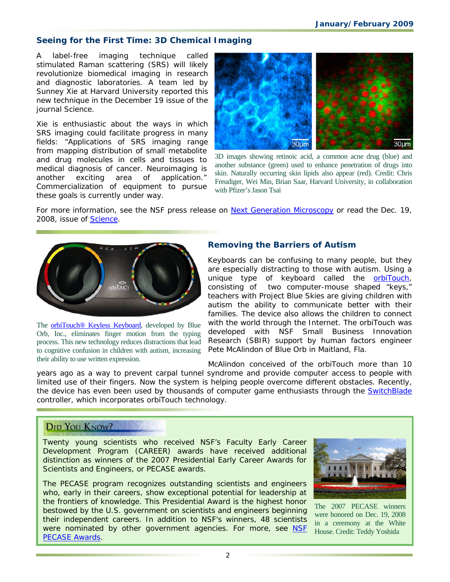# **Seeing for the First Time: 3D Chemical Imaging**

A label-free imaging technique called stimulated Raman scattering (SRS) will likely revolutionize biomedical imaging in research and diagnostic laboratories. A team led by Sunney Xie at Harvard University reported this new technique in the December 19 issue of the journal *Science*.

Xie is enthusiastic about the ways in which SRS imaging could facilitate progress in many fields: "Applications of SRS imaging range from mapping distribution of small metabolite and drug molecules in cells and tissues to medical diagnosis of cancer. Neuroimaging is another exciting area of application." Commercialization of equipment to pursue these goals is currently under way.



3D images showing retinoic acid, a common acne drug (blue) and another substance (green) used to enhance penetration of drugs into skin. Naturally occurring skin lipids also appear (red). Credit: Chris Freudiger, Wei Min, Brian Saar, Harvard University, in collaboration with Pfizer's Jason Tsai

For more information, see the NSF press release on [Next Generation Microscopy](http://www.nsf.gov/news/news_summ.jsp?cntn_id=112877&org=NSF&from=news) or read the Dec. 19, 2008, issue of *[Science](http://www.nsf.gov/cgi-bin/goodbye?http://www.sciencemag.org/cgi/reprint/322/5909/1857.pdf)*.



The **orbiTouch® Keyless Keyboard**, developed by Blue Orb, Inc., eliminates finger motion from the typing process. This new technology reduces distractions that lead to cognitive confusion in children with autism, increasing their ability to use written expression.

# **Removing the Barriers of Autism**

Keyboards can be confusing to many people, but they are especially distracting to those with autism. Using a unique type of keyboard called the **orbiTouch**, consisting of two computer-mouse shaped "keys," teachers with Project Blue Skies are giving children with autism the ability to communicate better with their families. The device also allows the children to connect with the world through the Internet. The orbiTouch was developed with NSF Small Business Innovation Research (SBIR) support by human factors engineer Pete McAlindon of Blue Orb in Maitland, Fla.

McAlindon conceived of the orbiTouch more than 10 years ago as a way to prevent carpal tunnel syndrome and provide computer access to people with limited use of their fingers. Now the system is helping people overcome different obstacles. Recently, the device has even been used by thousands of computer game enthusiasts through the **SwitchBlade** controller, which incorporates orbiTouch technology.

# **DID YOU KNOW?**

Twenty young scientists who received NSF's Faculty Early Career Development Program (CAREER) awards have received additional distinction as winners of the 2007 Presidential Early Career Awards for Scientists and Engineers, or PECASE awards.

The PECASE program recognizes outstanding scientists and engineers who, early in their careers, show exceptional potential for leadership at the frontiers of knowledge. This Presidential Award is the highest honor bestowed by the U.S. government on scientists and engineers beginning their independent careers. In addition to NSF's winners, 48 scientists were nominated by other government agencies. For more, see NSF [PECASE Awards.](http://www.nsf.gov/news/news_summ.jsp?cntn_id=112804)



The 2007 PECASE winners were honored on Dec. 19, 2008 in a ceremony at the White House. Credit: Teddy Yoshida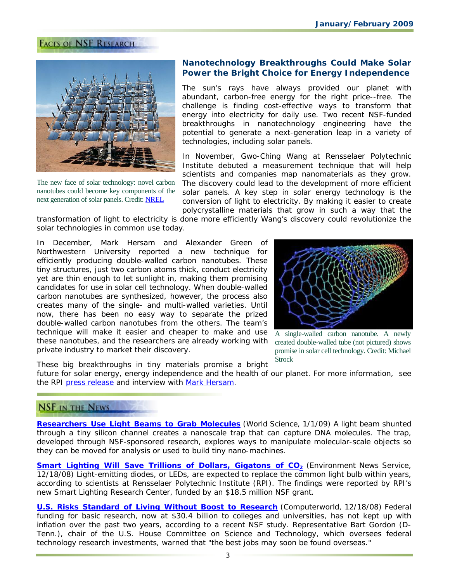# **FACES OF NSF RESEARCH**



The new face of solar technology: novel carbon nanotubes could become key components of the next generation of solar panels. Credit: [NREL](http://www.nrel.gov/data/pix/)

# **Nanotechnology Breakthroughs Could Make Solar Power the Bright Choice for Energy Independence**

The sun's rays have always provided our planet with abundant, carbon-free energy for the right price--free. The challenge is finding cost-effective ways to transform that energy into electricity for daily use. Two recent NSF-funded breakthroughs in nanotechnology engineering have the potential to generate a next-generation leap in a variety of technologies, including solar panels.

In November, Gwo-Ching Wang at Rensselaer Polytechnic Institute debuted a measurement technique that will help scientists and companies map nanomaterials as they grow. The discovery could lead to the development of more efficient solar panels. A key step in solar energy technology is the conversion of light to electricity. By making it easier to create polycrystalline materials that grow in such a way that the

transformation of light to electricity is done more efficiently Wang's discovery could revolutionize the solar technologies in common use today.

In December, Mark Hersam and Alexander Green of Northwestern University reported a new technique for efficiently producing double-walled carbon nanotubes. These tiny structures, just two carbon atoms thick, conduct electricity yet are thin enough to let sunlight in, making them promising candidates for use in solar cell technology. When double-walled carbon nanotubes are synthesized, however, the process also creates many of the single- and multi-walled varieties. Until now, there has been no easy way to separate the prized double-walled carbon nanotubes from the others. The team's technique will make it easier and cheaper to make and use these nanotubes, and the researchers are already working with private industry to market their discovery.



A single-walled carbon nanotube. A newly created double-walled tube (not pictured) shows promise in solar cell technology. Credit: Michael **Strock** 

These big breakthroughs in tiny materials promise a bright future for solar energy, energy independence and the health of our planet. For more information, see the RPI [press release](http://news.rpi.edu/update.do?artcenterkey=2509&setappvar=page(1)) and interview with [Mark Hersam.](http://www.nsf.gov/news/news_videos.jsp?cntn_id=112841&media_id=63304&org=NSF)

# **NSF IN THE NEWS**

**[Researchers Use Light Beams to Grab Molecules](http://www.nsf.gov/cgi-bin/goodbye?http://www.world-science.net/othernews/090101_nanoscale.htm)** (*World Science*, 1/1/09) A light beam shunted through a tiny silicon channel creates a nanoscale trap that can capture DNA molecules. The trap, developed through NSF-sponsored research, explores ways to manipulate molecular-scale objects so they can be moved for analysis or used to build tiny nano-machines.

**Smart Lighting Will Save Trillions of Dollars, Gigatons of CO<sub>2</sub> (***Environment News Service***,** 12/18/08) Light-emitting diodes, or LEDs, are expected to replace the common light bulb within years, according to scientists at Rensselaer Polytechnic Institute (RPI). The findings were reported by RPI's new Smart Lighting Research Center, funded by an \$18.5 million NSF grant.

**[U.S. Risks Standard of Living Without Boost to Research](http://www.nsf.gov/cgi-bin/goodbye?http://www.computerworld.com/action/article.do?command=viewArticleBasic&taxonomyName=Health_Care&articleId=9123918&taxonomyId=132&intsrc=kc_li_story)** (*Computerworld*, 12/18/08) Federal funding for basic research, now at \$30.4 billion to colleges and universities, has not kept up with inflation over the past two years, according to a recent NSF study. Representative Bart Gordon (D-Tenn.), chair of the U.S. House Committee on Science and Technology, which oversees federal technology research investments, warned that "the best jobs may soon be found overseas."